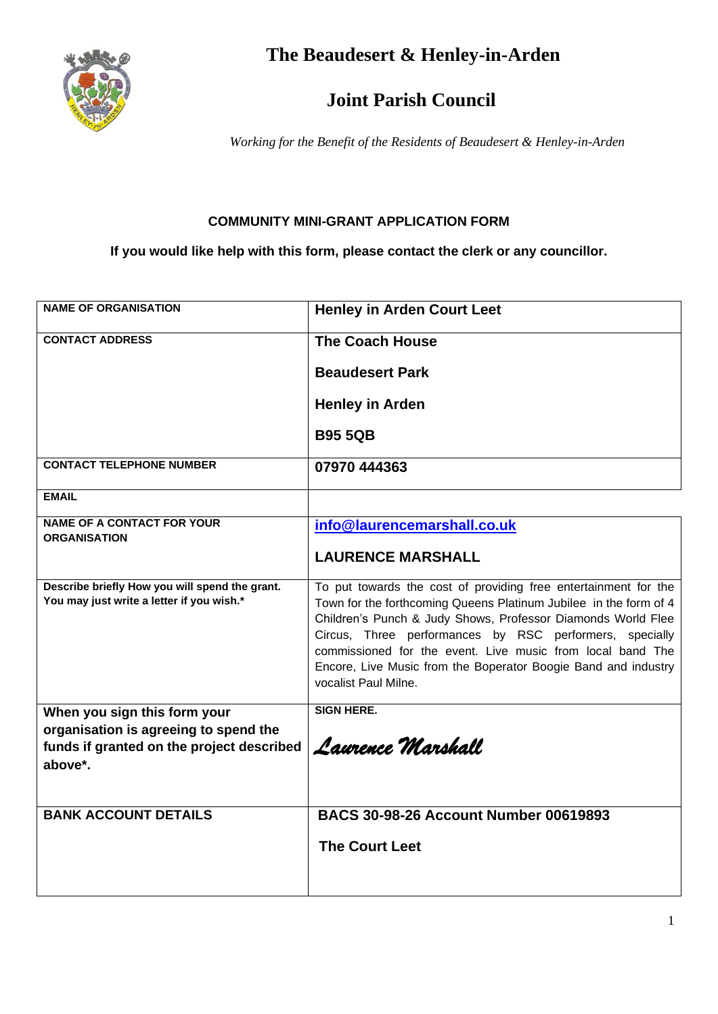

**The Beaudesert & Henley-in-Arden**

## **Joint Parish Council**

*Working for the Benefit of the Residents of Beaudesert & Henley-in-Arden*

## **COMMUNITY MINI-GRANT APPLICATION FORM**

**If you would like help with this form, please contact the clerk or any councillor.**

| <b>NAME OF ORGANISATION</b>                              | <b>Henley in Arden Court Leet</b>                                                      |
|----------------------------------------------------------|----------------------------------------------------------------------------------------|
| <b>CONTACT ADDRESS</b>                                   | <b>The Coach House</b>                                                                 |
|                                                          | <b>Beaudesert Park</b>                                                                 |
|                                                          | <b>Henley in Arden</b>                                                                 |
|                                                          | <b>B95 5QB</b>                                                                         |
| <b>CONTACT TELEPHONE NUMBER</b>                          | 07970 444363                                                                           |
| <b>EMAIL</b>                                             |                                                                                        |
| <b>NAME OF A CONTACT FOR YOUR</b><br><b>ORGANISATION</b> | info@laurencemarshall.co.uk                                                            |
|                                                          | <b>LAURENCE MARSHALL</b>                                                               |
| Describe briefly How you will spend the grant.           | To put towards the cost of providing free entertainment for the                        |
| You may just write a letter if you wish.*                | Town for the forthcoming Queens Platinum Jubilee in the form of 4                      |
|                                                          | Children's Punch & Judy Shows, Professor Diamonds World Flee                           |
|                                                          | Circus, Three performances by RSC performers, specially                                |
|                                                          | commissioned for the event. Live music from local band The                             |
|                                                          | Encore, Live Music from the Boperator Boogie Band and industry<br>vocalist Paul Milne. |
| When you sign this form your                             | <b>SIGN HERE.</b>                                                                      |
| organisation is agreeing to spend the                    |                                                                                        |
| funds if granted on the project described                | Laurence Marshall                                                                      |
| above*.                                                  |                                                                                        |
|                                                          |                                                                                        |
| <b>BANK ACCOUNT DETAILS</b>                              | <b>BACS 30-98-26 Account Number 00619893</b>                                           |
|                                                          | <b>The Court Leet</b>                                                                  |
|                                                          |                                                                                        |